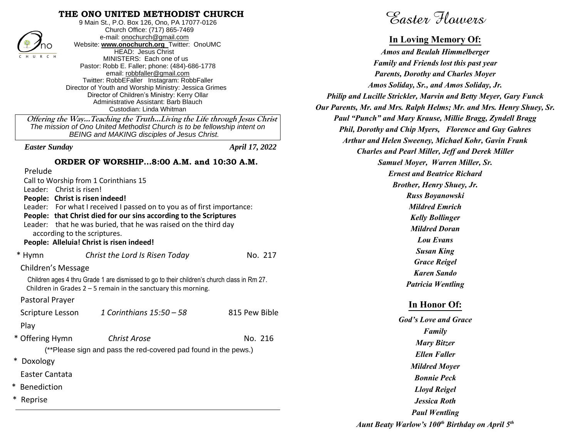### **THE ONO UNITED METHODIST CHURCH**



9 Main St., P.O. Box 126, Ono, PA 17077-0126 Church Office: (717) 865-7469 e-mail[: onochurch@gmail.com](mailto:onochurch@gmail.com) Website: **[www.onochurch.org](http://www.onochurch.org/)** Twitter: OnoUMC HEAD: Jesus Christ MINISTERS: Each one of us Pastor: Robb E. Faller; phone: (484)-686-1778 email: [robbfaller@gmail.com](mailto:robbfaller@gmail.com) Twitter: RobbEFaller Instagram: RobbFaller Director of Youth and Worship Ministry: Jessica Grimes Director of Children's Ministry: Kerry Ollar Administrative Assistant: Barb Blauch Custodian: Linda Whitman

 **Offering the Way…Teaching the Truth…Living the Life through Jesus Christ** *The mission of Ono United Methodist Church is to be fellowship intent on BEING and MAKING disciples of Jesus Christ.* 

*Easter Sunday April 17, 2022* 

#### **ORDER OF WORSHIP…8:00 A.M. and 10:30 A.M.**

Prelude

| Call to Worship from 1 Corinthians 15<br>Leader: Christ is risen!<br>People: Christ is risen indeed!<br>according to the scriptures. | Leader: For what I received I passed on to you as of first importance:<br>People: that Christ died for our sins according to the Scriptures<br>Leader: that he was buried, that he was raised on the third day<br>People: Alleluia! Christ is risen indeed! |               |  |  |
|--------------------------------------------------------------------------------------------------------------------------------------|-------------------------------------------------------------------------------------------------------------------------------------------------------------------------------------------------------------------------------------------------------------|---------------|--|--|
| * Hymn                                                                                                                               | Christ the Lord Is Risen Today                                                                                                                                                                                                                              | No. 217       |  |  |
| Children's Message                                                                                                                   |                                                                                                                                                                                                                                                             |               |  |  |
|                                                                                                                                      | Children ages 4 thru Grade 1 are dismissed to go to their children's church class in Rm 27.<br>Children in Grades $2 - 5$ remain in the sanctuary this morning.                                                                                             |               |  |  |
| Pastoral Prayer                                                                                                                      |                                                                                                                                                                                                                                                             |               |  |  |
| Scripture Lesson                                                                                                                     | 1 Corinthians $15:50 - 58$                                                                                                                                                                                                                                  | 815 Pew Bible |  |  |
| Play                                                                                                                                 |                                                                                                                                                                                                                                                             |               |  |  |
| * Offering Hymn                                                                                                                      | <b>Christ Arose</b>                                                                                                                                                                                                                                         | No. 216       |  |  |
| (**Please sign and pass the red-covered pad found in the pews.)                                                                      |                                                                                                                                                                                                                                                             |               |  |  |
| * Doxology                                                                                                                           |                                                                                                                                                                                                                                                             |               |  |  |
| Easter Cantata                                                                                                                       |                                                                                                                                                                                                                                                             |               |  |  |
| Benediction                                                                                                                          |                                                                                                                                                                                                                                                             |               |  |  |
| *<br>Reprise                                                                                                                         |                                                                                                                                                                                                                                                             |               |  |  |

Easter Flowers

#### **In Loving Memory Of:**

*Amos and Beulah Himmelberger Family and Friends lost this past year Parents, Dorothy and Charles Moyer Amos Soliday, Sr., and Amos Soliday, Jr. Philip and Lucille Strickler, Marvin and Betty Meyer, Gary Funck Our Parents, Mr. and Mrs. Ralph Helms; Mr. and Mrs. Henry Shuey, Sr. Paul "Punch" and Mary Krause, Millie Bragg, Zyndell Bragg Phil, Dorothy and Chip Myers, Florence and Guy Gahres Arthur and Helen Sweeney, Michael Kohr, Gavin Frank Charles and Pearl Miller, Jeff and Derek Miller Samuel Moyer, Warren Miller, Sr. Ernest and Beatrice Richard Brother, Henry Shuey, Jr. Russ Boyanowski Mildred Emrich Kelly Bollinger Mildred Doran Lou Evans Susan King Grace Reigel Karen Sando Patricia Wentling* **In Honor Of:** *God's Love and Grace Family Mary Bitzer Ellen Faller Mildred Moyer Bonnie Peck Lloyd Reigel Jessica Roth Paul Wentling* FORMS **CONSULTERING ENGINEERING** (and the control of the Control of the Control of the Control of the Control of the Control of the Control of the Control of the Control of the Control of the Control of the Control of th

*Aunt Beaty Warlow's 100th Birthday on April 5*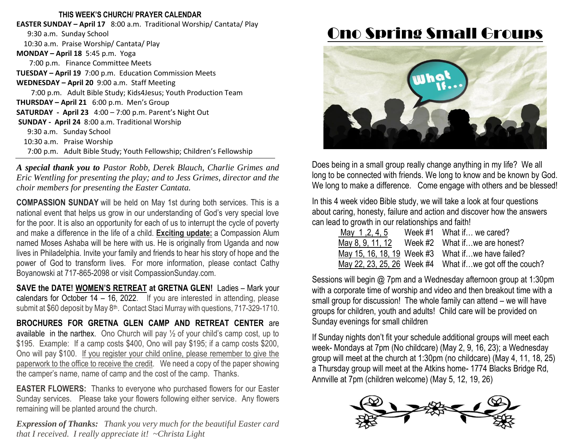#### **THIS WEEK'S CHURCH/ PRAYER CALENDAR**

**EASTER SUNDAY – April 17** 8:00 a.m. Traditional Worship/ Cantata/ Play 9:30 a.m. Sunday School 10:30 a.m. Praise Worship/ Cantata/ Play **MONDAY – April 18** 5:45 p.m. Yoga 7:00 p.m. Finance Committee Meets **TUESDAY – April 19** 7:00 p.m. Education Commission Meets **WEDNESDAY – April 20** 9:00 a.m. Staff Meeting 7:00 p.m. Adult Bible Study; Kids4Jesus; Youth Production Team **THURSDAY – April 21** 6:00 p.m. Men's Group **SATURDAY - April 23** 4:00 – 7:00 p.m. Parent's Night Out **SUNDAY - April 24** 8:00 a.m. Traditional Worship 9:30 a.m. Sunday School 10:30 a.m. Praise Worship 7:00 p.m. Adult Bible Study; Youth Fellowship; Children's Fellowship  $\overline{a}$ 

*A special thank you to Pastor Robb, Derek Blauch, Charlie Grimes and Eric Wentling for presenting the play; and to Jess Grimes, director and the choir members for presenting the Easter Cantata.* 

**COMPASSION SUNDAY** will be held on May 1st during both services. This is a national event that helps us grow in our understanding of God's very special love for the poor. It is also an opportunity for each of us to interrupt the cycle of poverty and make a difference in the life of a child. **Exciting update:** a Compassion Alum named Moses Ashaba will be here with us. He is originally from Uganda and now lives in Philadelphia. Invite your family and friends to hear his story of hope and the power of God to transform lives. For more information, please contact Cathy Boyanowski at 717-865-2098 or visit CompassionSunday.com.

**SAVE the DATE! WOMEN'S RETREAT at GRETNA GLEN!** Ladies – Mark your calendars for October 14 – 16, 2022. If you are interested in attending, please submit at \$60 deposit by May 8<sup>th</sup>. Contact Staci Murray with questions, 717-329-1710.

**BROCHURES FOR GRETNA GLEN CAMP AND RETREAT CENTER** are available in the narthex. Ono Church will pay  $\frac{1}{2}$  of your child's camp cost, up to \$195. Example: If a camp costs \$400, Ono will pay \$195; if a camp costs \$200, Ono will pay \$100. If you register your child online, please remember to give the paperwork to the office to receive the credit. We need a copy of the paper showing the camper's name, name of camp and the cost of the camp. Thanks.

**EASTER FLOWERS:** Thanks to everyone who purchased flowers for our Easter Sunday services. Please take your flowers following either service. Any flowers remaining will be planted around the church.

*Expression of Thanks: Thank you very much for the beautiful Easter card that I received. I really appreciate it! ~Christa Light*

# Ono Spring Small Groups



Does being in a small group really change anything in my life? We all long to be connected with friends. We long to know and be known by God. We long to make a difference. Come engage with others and be blessed!

In this 4 week video Bible study, we will take a look at four questions about caring, honesty, failure and action and discover how the answers can lead to growth in our relationships and faith!

| May 1,2,4,5 | Week $#1$ What if  we cared?                            |
|-------------|---------------------------------------------------------|
|             | May 8, 9, 11, 12 Week $#2$ What if we are honest?       |
|             | May 15, 16, 18, 19 Week #3 What ifwe have failed?       |
|             | May 22, 23, 25, 26 Week #4 What ifwe got off the couch? |

Sessions will begin @ 7pm and a Wednesday afternoon group at 1:30pm with a corporate time of worship and video and then breakout time with a small group for discussion! The whole family can attend – we will have groups for children, youth and adults! Child care will be provided on Sunday evenings for small children

If Sunday nights don't fit your schedule additional groups will meet each week- Mondays at 7pm (No childcare) (May 2, 9, 16, 23); a Wednesday group will meet at the church at 1:30pm (no childcare) (May 4, 11, 18, 25) a Thursday group will meet at the Atkins home- 1774 Blacks Bridge Rd, Annville at 7pm (children welcome) (May 5, 12, 19, 26)